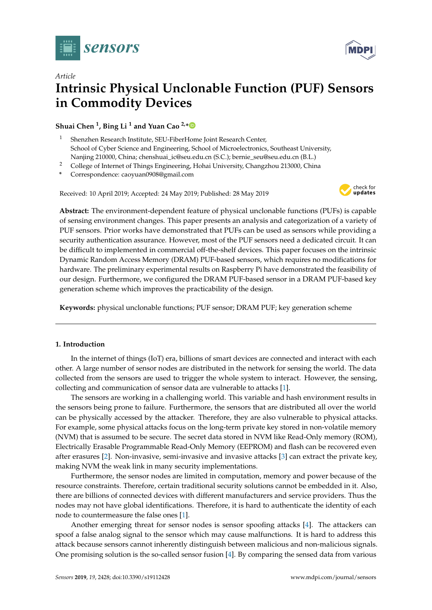



# *Article* **Intrinsic Physical Unclonable Function (PUF) Sensors in Commodity Devices**

**Shuai Chen <sup>1</sup> , Bing Li <sup>1</sup> and Yuan Cao 2,[\\*](https://orcid.org/0000-0001-5227-2241)**

- <sup>1</sup> Shenzhen Research Institute, SEU-FiberHome Joint Research Center, School of Cyber Science and Engineering, School of Microelectronics, Southeast University, Nanjing 210000, China; chenshuai\_ic@seu.edu.cn (S.C.); bernie\_seu@seu.edu.cn (B.L.)
- <sup>2</sup> College of Internet of Things Engineering, Hohai University, Changzhou 213000, China
- **\*** Correspondence: caoyuan0908@gmail.com

Received: 10 April 2019; Accepted: 24 May 2019; Published: 28 May 2019



**Abstract:** The environment-dependent feature of physical unclonable functions (PUFs) is capable of sensing environment changes. This paper presents an analysis and categorization of a variety of PUF sensors. Prior works have demonstrated that PUFs can be used as sensors while providing a security authentication assurance. However, most of the PUF sensors need a dedicated circuit. It can be difficult to implemented in commercial off-the-shelf devices. This paper focuses on the intrinsic Dynamic Random Access Memory (DRAM) PUF-based sensors, which requires no modifications for hardware. The preliminary experimental results on Raspberry Pi have demonstrated the feasibility of our design. Furthermore, we configured the DRAM PUF-based sensor in a DRAM PUF-based key generation scheme which improves the practicability of the design.

**Keywords:** physical unclonable functions; PUF sensor; DRAM PUF; key generation scheme

# **1. Introduction**

In the internet of things (IoT) era, billions of smart devices are connected and interact with each other. A large number of sensor nodes are distributed in the network for sensing the world. The data collected from the sensors are used to trigger the whole system to interact. However, the sensing, collecting and communication of sensor data are vulnerable to attacks [\[1\]](#page-12-0).

The sensors are working in a challenging world. This variable and hash environment results in the sensors being prone to failure. Furthermore, the sensors that are distributed all over the world can be physically accessed by the attacker. Therefore, they are also vulnerable to physical attacks. For example, some physical attacks focus on the long-term private key stored in non-volatile memory (NVM) that is assumed to be secure. The secret data stored in NVM like Read-Only memory (ROM), Electrically Erasable Programmable Read-Only Memory (EEPROM) and flash can be recovered even after erasures [\[2\]](#page-12-1). Non-invasive, semi-invasive and invasive attacks [\[3\]](#page-12-2) can extract the private key, making NVM the weak link in many security implementations.

Furthermore, the sensor nodes are limited in computation, memory and power because of the resource constraints. Therefore, certain traditional security solutions cannot be embedded in it. Also, there are billions of connected devices with different manufacturers and service providers. Thus the nodes may not have global identifications. Therefore, it is hard to authenticate the identity of each node to countermeasure the false ones [\[1\]](#page-12-0).

Another emerging threat for sensor nodes is sensor spoofing attacks [\[4\]](#page-12-3). The attackers can spoof a false analog signal to the sensor which may cause malfunctions. It is hard to address this attack because sensors cannot inherently distinguish between malicious and non-malicious signals. One promising solution is the so-called sensor fusion [\[4\]](#page-12-3). By comparing the sensed data from various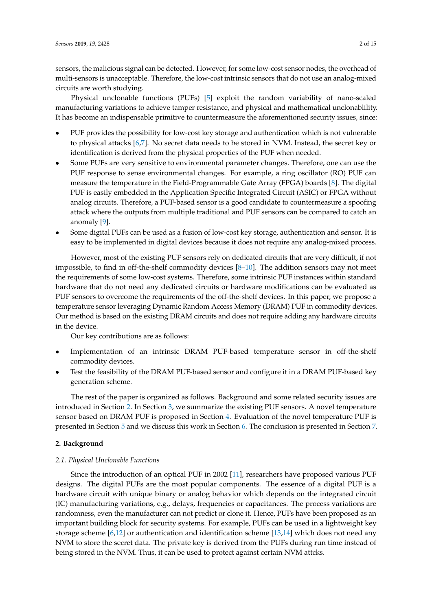sensors, the malicious signal can be detected. However, for some low-cost sensor nodes, the overhead of multi-sensors is unacceptable. Therefore, the low-cost intrinsic sensors that do not use an analog-mixed circuits are worth studying.

Physical unclonable functions (PUFs) [\[5\]](#page-12-4) exploit the random variability of nano-scaled manufacturing variations to achieve tamper resistance, and physical and mathematical unclonablility. It has become an indispensable primitive to countermeasure the aforementioned security issues, since:

- PUF provides the possibility for low-cost key storage and authentication which is not vulnerable to physical attacks [\[6](#page-12-5)[,7\]](#page-12-6). No secret data needs to be stored in NVM. Instead, the secret key or identification is derived from the physical properties of the PUF when needed.
- Some PUFs are very sensitive to environmental parameter changes. Therefore, one can use the PUF response to sense environmental changes. For example, a ring oscillator (RO) PUF can measure the temperature in the Field-Programmable Gate Array (FPGA) boards [\[8\]](#page-12-7). The digital PUF is easily embedded in the Application Specific Integrated Circuit (ASIC) or FPGA without analog circuits. Therefore, a PUF-based sensor is a good candidate to countermeasure a spoofing attack where the outputs from multiple traditional and PUF sensors can be compared to catch an anomaly [\[9\]](#page-12-8).
- Some digital PUFs can be used as a fusion of low-cost key storage, authentication and sensor. It is easy to be implemented in digital devices because it does not require any analog-mixed process.

However, most of the existing PUF sensors rely on dedicated circuits that are very difficult, if not impossible, to find in off-the-shelf commodity devices [\[8–](#page-12-7)[10\]](#page-12-9). The addition sensors may not meet the requirements of some low-cost systems. Therefore, some intrinsic PUF instances within standard hardware that do not need any dedicated circuits or hardware modifications can be evaluated as PUF sensors to overcome the requirements of the off-the-shelf devices. In this paper, we propose a temperature sensor leveraging Dynamic Random Access Memory (DRAM) PUF in commodity devices. Our method is based on the existing DRAM circuits and does not require adding any hardware circuits in the device.

Our key contributions are as follows:

- Implementation of an intrinsic DRAM PUF-based temperature sensor in off-the-shelf commodity devices.
- Test the feasibility of the DRAM PUF-based sensor and configure it in a DRAM PUF-based key generation scheme.

The rest of the paper is organized as follows. Background and some related security issues are introduced in Section [2.](#page-1-0) In Section [3,](#page-2-0) we summarize the existing PUF sensors. A novel temperature sensor based on DRAM PUF is proposed in Section [4.](#page-4-0) Evaluation of the novel temperature PUF is presented in Section [5](#page-6-0) and we discuss this work in Section [6.](#page-10-0) The conclusion is presented in Section [7.](#page-11-0)

# <span id="page-1-0"></span>**2. Background**

### *2.1. Physical Unclonable Functions*

Since the introduction of an optical PUF in 2002 [\[11\]](#page-12-10), researchers have proposed various PUF designs. The digital PUFs are the most popular components. The essence of a digital PUF is a hardware circuit with unique binary or analog behavior which depends on the integrated circuit (IC) manufacturing variations, e.g., delays, frequencies or capacitances. The process variations are randomness, even the manufacturer can not predict or clone it. Hence, PUFs have been proposed as an important building block for security systems. For example, PUFs can be used in a lightweight key storage scheme [\[6,](#page-12-5)[12\]](#page-12-11) or authentication and identification scheme [\[13](#page-12-12)[,14\]](#page-13-0) which does not need any NVM to store the secret data. The private key is derived from the PUFs during run time instead of being stored in the NVM. Thus, it can be used to protect against certain NVM attcks.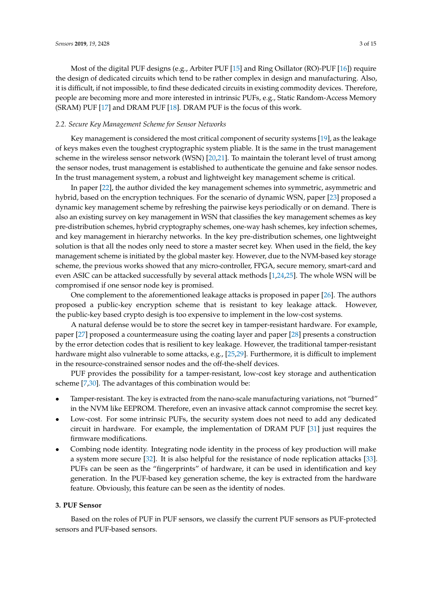Most of the digital PUF designs (e.g., Arbiter PUF [\[15\]](#page-13-1) and Ring Osillator (RO)-PUF [\[16\]](#page-13-2)) require the design of dedicated circuits which tend to be rather complex in design and manufacturing. Also, it is difficult, if not impossible, to find these dedicated circuits in existing commodity devices. Therefore, people are becoming more and more interested in intrinsic PUFs, e.g., Static Random-Access Memory (SRAM) PUF [\[17\]](#page-13-3) and DRAM PUF [\[18\]](#page-13-4). DRAM PUF is the focus of this work.

#### *2.2. Secure Key Management Scheme for Sensor Networks*

Key management is considered the most critical component of security systems [\[19\]](#page-13-5), as the leakage of keys makes even the toughest cryptographic system pliable. It is the same in the trust management scheme in the wireless sensor network (WSN) [\[20](#page-13-6)[,21\]](#page-13-7). To maintain the tolerant level of trust among the sensor nodes, trust management is established to authenticate the genuine and fake sensor nodes. In the trust management system, a robust and lightweight key management scheme is critical.

In paper [\[22\]](#page-13-8), the author divided the key management schemes into symmetric, asymmetric and hybrid, based on the encryption techniques. For the scenario of dynamic WSN, paper [\[23\]](#page-13-9) proposed a dynamic key management scheme by refreshing the pairwise keys periodically or on demand. There is also an existing survey on key management in WSN that classifies the key management schemes as key pre-distribution schemes, hybrid cryptography schemes, one-way hash schemes, key infection schemes, and key management in hierarchy networks. In the key pre-distribution schemes, one lightweight solution is that all the nodes only need to store a master secret key. When used in the field, the key management scheme is initiated by the global master key. However, due to the NVM-based key storage scheme, the previous works showed that any micro-controller, FPGA, secure memory, smart-card and even ASIC can be attacked successfully by several attack methods [\[1](#page-12-0)[,24](#page-13-10)[,25\]](#page-13-11). The whole WSN will be compromised if one sensor node key is promised.

One complement to the aforementioned leakage attacks is proposed in paper [\[26\]](#page-13-12). The authors proposed a public-key encryption scheme that is resistant to key leakage attack. However, the public-key based crypto desigh is too expensive to implement in the low-cost systems.

A natural defense would be to store the secret key in tamper-resistant hardware. For example, paper [\[27\]](#page-13-13) proposed a countermeasure using the coating layer and paper [\[28\]](#page-13-14) presents a construction by the error detection codes that is resilient to key leakage. However, the traditional tamper-resistant hardware might also vulnerable to some attacks, e.g., [\[25,](#page-13-11)[29\]](#page-13-15). Furthermore, it is difficult to implement in the resource-constrained sensor nodes and the off-the-shelf devices.

PUF provides the possibility for a tamper-resistant, low-cost key storage and authentication scheme [\[7,](#page-12-6)[30\]](#page-13-16). The advantages of this combination would be:

- Tamper-resistant. The key is extracted from the nano-scale manufacturing variations, not "burned" in the NVM like EEPROM. Therefore, even an invasive attack cannot compromise the secret key.
- Low-cost. For some intrinsic PUFs, the security system does not need to add any dedicated circuit in hardware. For example, the implementation of DRAM PUF [\[31\]](#page-13-17) just requires the firmware modifications.
- Combing node identity. Integrating node identity in the process of key production will make a system more secure [\[32\]](#page-13-18). It is also helpful for the resistance of node replication attacks [\[33\]](#page-13-19). PUFs can be seen as the "fingerprints" of hardware, it can be used in identification and key generation. In the PUF-based key generation scheme, the key is extracted from the hardware feature. Obviously, this feature can be seen as the identity of nodes.

# <span id="page-2-0"></span>**3. PUF Sensor**

Based on the roles of PUF in PUF sensors, we classify the current PUF sensors as PUF-protected sensors and PUF-based sensors.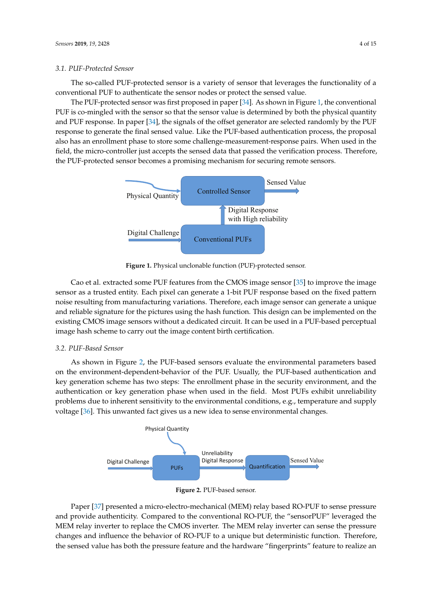#### *3.1. PUF-Protected Sensor*

The so-called PUF-protected sensor is a variety of sensor that leverages the functionality of a conventional PUF to authenticate the sensor nodes or protect the sensed value.

The PUF-protected sensor was first proposed in paper [\[34\]](#page-13-20). As shown in Figure [1,](#page-3-0) the conventional PUF is co-mingled with the sensor so that the sensor value is determined by both the physical quantity and PUF response. In paper [\[34\]](#page-13-20), the signals of the offset generator are selected randomly by the PUF response to generate the final sensed value. Like the PUF-based authentication process, the proposal also has an enrollment phase to store some challenge-measurement-response pairs. When used in the field, the micro-controller just accepts the sensed data that passed the verification process. Therefore, the PUF-protected sensor becomes a promising mechanism for securing remote sensors.

<span id="page-3-0"></span>

**Figure 1.** Physical unclonable function (PUF)-protected sensor.

Cao et al. extracted some PUF features from the CMOS image sensor [\[35\]](#page-14-0) to improve the image sensor as a trusted entity. Each pixel can generate a 1-bit PUF response based on the fixed pattern noise resulting from manufacturing variations. Therefore, each image sensor can generate a unique and reliable signature for the pictures using the hash function. This design can be implemented on the existing CMOS image sensors without a dedicated circuit. It can be used in a PUF-based perceptual image hash scheme to carry out the image content birth certification.

# *3.2. PUF-Based Sensor*

As shown in Figure [2,](#page-3-1) the PUF-based sensors evaluate the environmental parameters based on the environment-dependent-behavior of the PUF. Usually, the PUF-based authentication and key generation scheme has two steps: The enrollment phase in the security environment, and the authentication or key generation phase when used in the field. Most PUFs exhibit unreliability problems due to inherent sensitivity to the environmental conditions, e.g., temperature and supply voltage [\[36\]](#page-14-1). This unwanted fact gives us a new idea to sense environmental changes.

<span id="page-3-1"></span>

**Figure 2.** PUF-based sensor.

Paper [\[37\]](#page-14-2) presented a micro-electro-mechanical (MEM) relay based RO-PUF to sense pressure and provide authenticity. Compared to the conventional RO-PUF, the "sensorPUF" leveraged the MEM relay inverter to replace the CMOS inverter. The MEM relay inverter can sense the pressure changes and influence the behavior of RO-PUF to a unique but deterministic function. Therefore, the sensed value has both the pressure feature and the hardware "fingerprints" feature to realize an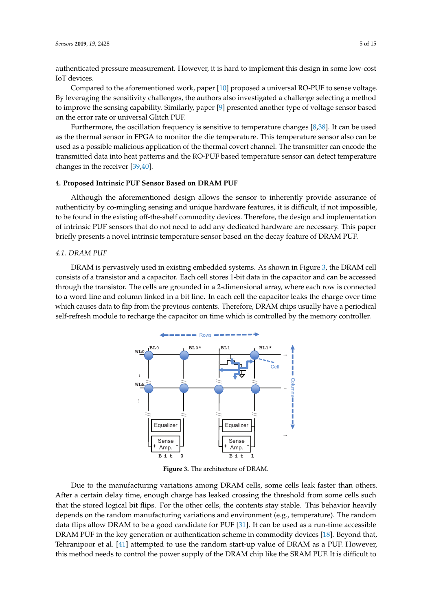authenticated pressure measurement. However, it is hard to implement this design in some low-cost IoT devices.

Compared to the aforementioned work, paper [\[10\]](#page-12-9) proposed a universal RO-PUF to sense voltage. By leveraging the sensitivity challenges, the authors also investigated a challenge selecting a method to improve the sensing capability. Similarly, paper [\[9\]](#page-12-8) presented another type of voltage sensor based on the error rate or universal Glitch PUF.

Furthermore, the oscillation frequency is sensitive to temperature changes [\[8](#page-12-7)[,38\]](#page-14-3). It can be used as the thermal sensor in FPGA to monitor the die temperature. This temperature sensor also can be used as a possible malicious application of the thermal covert channel. The transmitter can encode the transmitted data into heat patterns and the RO-PUF based temperature sensor can detect temperature changes in the receiver [\[39](#page-14-4)[,40\]](#page-14-5).

#### <span id="page-4-0"></span>**4. Proposed Intrinsic PUF Sensor Based on DRAM PUF**

Although the aforementioned design allows the sensor to inherently provide assurance of authenticity by co-mingling sensing and unique hardware features, it is difficult, if not impossible, to be found in the existing off-the-shelf commodity devices. Therefore, the design and implementation of intrinsic PUF sensors that do not need to add any dedicated hardware are necessary. This paper briefly presents a novel intrinsic temperature sensor based on the decay feature of DRAM PUF.

#### *4.1. DRAM PUF*

<span id="page-4-1"></span>DRAM is pervasively used in existing embedded systems. As shown in Figure [3,](#page-4-1) the DRAM cell consists of a transistor and a capacitor. Each cell stores 1-bit data in the capacitor and can be accessed D through the transistor. The cells are grounded in a 2-dimensional array, where each row is connected to a word line and column linked in a bit line. In each cell the capacitor leaks the charge over time which causes data to flip from the previous contents. Therefore, DRAM chips usually have a periodical self-refresh module to recharge the capacitor on time which is controlled by the memory controller.  $\n *D*N\n$ 



**Figure 3.** The architecture of DRAM.

Due to the manufacturing variations among DRAM cells, some cells leak faster than others. After a certain delay time, enough charge has leaked crossing the threshold from some cells such that the stored logical bit flips. For the other cells, the contents stay stable. This behavior heavily depends on the random manufacturing variations and environment (e.g., temperature). The random data flips allow DRAM to be a good candidate for PUF [\[31\]](#page-13-17). It can be used as a run-time accessible DRAM PUF in the key generation or authentication scheme in commodity devices [\[18\]](#page-13-4). Beyond that, Tehranipoor et al. [\[41\]](#page-14-6) attempted to use the random start-up value of DRAM as a PUF. However, this method needs to control the power supply of the DRAM chip like the SRAM PUF. It is difficult to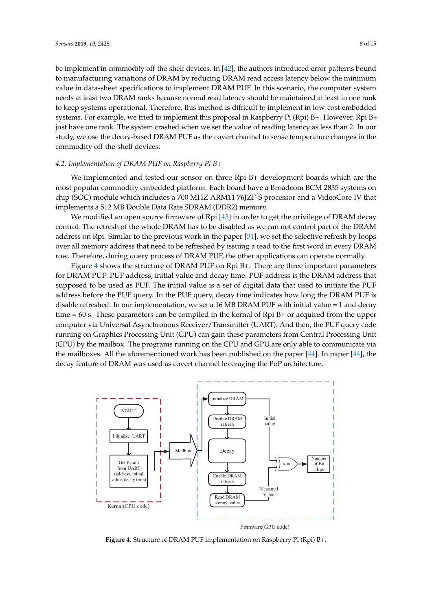be implement in commodity off-the-shelf devices. In [\[42\]](#page-14-7), the authors introduced error patterns bound to manufacturing variations of DRAM by reducing DRAM read access latency below the minimum value in data-sheet specifications to implement DRAM PUF. In this scenario, the computer system needs at least two DRAM ranks because normal read latency should be maintained at least in one rank to keep systems operational. Therefore, this method is difficult to implement in low-cost embedded systems. For example, we tried to implement this proposal in Raspberry Pi (Rpi) B+. However, Rpi B+ just have one rank. The system crashed when we set the value of reading latency as less than 2. In our study, we use the decay-based DRAM PUF as the covert channel to sense temperature changes in the commodity off-the-shelf devices.

#### *4.2. Implementation of DRAM PUF on Raspberry Pi B+*

We implemented and tested our sensor on three Rpi B+ development boards which are the most popular commodity embedded platform. Each board have a Broadcom BCM 2835 systems on chip (SOC) module which includes a 700 MHZ ARM11 76JZF-S processor and a VideoCore IV that implements a 512 MB Double Data Rate SDRAM (DDR2) memory.

We modified an open source firmware of Rpi [\[43\]](#page-14-8) in order to get the privilege of DRAM decay control. The refresh of the whole DRAM has to be disabled as we can not control part of the DRAM address on Rpi. Similar to the previous work in the paper [\[31\]](#page-13-17), we set the selective refresh by loops over all memory address that need to be refreshed by issuing a read to the first word in every DRAM row. Therefore, during query process of DRAM PUF, the other applications can operate normally.

Figure [4](#page-5-0) shows the structure of DRAM PUF on Rpi B+. There are three important parameters for DRAM PUF: PUF address, initial value and decay time. PUF address is the DRAM address that supposed to be used as PUF. The initial value is a set of digital data that used to initiate the PUF address before the PUF query. In the PUF query, decay time indicates how long the DRAM PUF is disable refreshed. In our implementation, we set a 16 MB DRAM PUF with initial value = 1 and decay time = 60 s. These parameters can be compiled in the kernal of Rpi B+ or acquired from the upper computer via Universal Asynchronous Receiver/Transmitter (UART). And then, the PUF query code running on Graphics Processing Unit (GPU) can gain these parameters from Central Processing Unit (CPU) by the mailbox. The programs running on the CPU and GPU are only able to communicate via the mailboxes. All the aforementioned work has been published on the paper [\[44\]](#page-14-9). In paper [\[44\]](#page-14-9), the decay feature of DRAM was used as covert channel leveraging the PoP architecture.

<span id="page-5-0"></span>

**Figure 4.** Structure of DRAM PUF implementation on Raspberry Pi (Rpi) B+.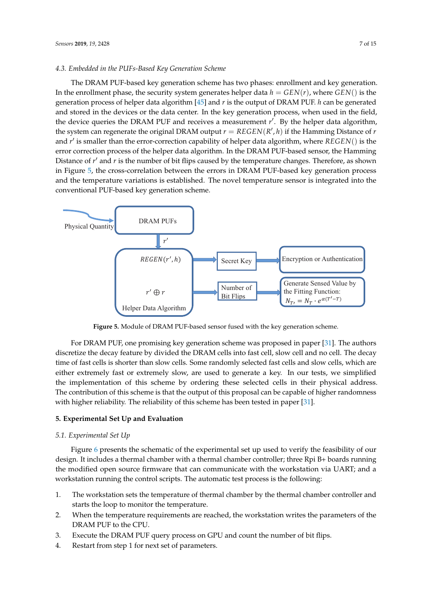# *4.3. Embedded in the PUFs-Based Key Generation Scheme*

The DRAM PUF-based key generation scheme has two phases: enrollment and key generation. In the enrollment phase, the security system generates helper data  $h = GEN(r)$ , where  $GEN()$  is the generation process of helper data algorithm [\[45\]](#page-14-10) and *r* is the output of DRAM PUF. *h* can be generated and stored in the devices or the data center. In the key generation process, when used in the field, the device queries the DRAM PUF and receives a measurement r'. By the helper data algorithm, the system can regenerate the original DRAM output  $r = REGEN(R', h)$  if the Hamming Distance of  $r$ and *r'* is smaller than the error-correction capability of helper data algorithm, where *REGEN*() is the error correction process of the helper data algorithm. In the DRAM PUF-based sensor, the Hamming Distance of r' and r is the number of bit flips caused by the temperature changes. Therefore, as shown in Figure [5,](#page-6-1) the cross-correlation between the errors in DRAM PUF-based key generation process and the temperature variations is established. The novel temperature sensor is integrated into the conventional PUF-based key generation scheme.

<span id="page-6-1"></span>

**Figure 5.** Module of DRAM PUF-based sensor fused with the key generation scheme.

For DRAM PUF, one promising key generation scheme was proposed in paper [\[31\]](#page-13-17). The authors discretize the decay feature by divided the DRAM cells into fast cell, slow cell and no cell. The decay time of fast cells is shorter than slow cells. Some randomly selected fast cells and slow cells, which are either extremely fast or extremely slow, are used to generate a key. In our tests, we simplified the implementation of this scheme by ordering these selected cells in their physical address. The contribution of this scheme is that the output of this proposal can be capable of higher randomness with higher reliability. The reliability of this scheme has been tested in paper [\[31\]](#page-13-17).

# <span id="page-6-0"></span>**5. Experimental Set Up and Evaluation**

# *5.1. Experimental Set Up*

Figure [6](#page-7-0) presents the schematic of the experimental set up used to verify the feasibility of our design. It includes a thermal chamber with a thermal chamber controller; three Rpi B+ boards running the modified open source firmware that can communicate with the workstation via UART; and a workstation running the control scripts. The automatic test process is the following:

- 1. The workstation sets the temperature of thermal chamber by the thermal chamber controller and starts the loop to monitor the temperature.
- 2. When the temperature requirements are reached, the workstation writes the parameters of the DRAM PUF to the CPU.
- 3. Execute the DRAM PUF query process on GPU and count the number of bit flips.
- 4. Restart from step 1 for next set of parameters.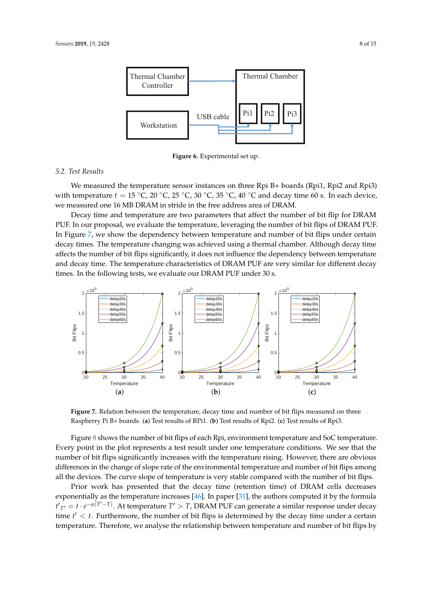<span id="page-7-0"></span>

**Figure 6.** Experimental set up.

# *5.2. Test Results*

We measured the temperature sensor instances on three Rpi B+ boards (Rpi1, Rpi2 and Rpi3) with temperature  $t = 15 \degree C$ ,  $20 \degree C$ ,  $25 \degree C$ ,  $30 \degree C$ ,  $35 \degree C$ ,  $40 \degree C$  and decay time 60 s. In each device, we measured one 16 MB DRAM in stride in the free address area of DRAM.

Decay time and temperature are two parameters that affect the number of bit flip for DRAM PUF. In our proposal, we evaluate the temperature, leveraging the number of bit flips of DRAM PUF. In Figure [7,](#page-7-1) we show the dependency between temperature and number of bit flips under certain decay times. The temperature changing was achieved using a thermal chamber. Although decay time affects the number of bit flips significantly, it does not influence the dependency between temperature and decay time. The temperature characteristics of DRAM PUF are very similar for different decay times. In the following tests, we evaluate our DRAM PUF under 30 s.

<span id="page-7-1"></span>

**Figure 7.** Relation between the temperature, decay time and number of bit flips measured on three Raspberry Pi B+ boards. (**a**) Test results of RPi1. (**b**) Test results of Rpi2. (**c**) Test results of Rpi3.

Figure [8](#page-8-0) shows the number of bit flips of each Rpi, environment temperature and SoC temperature. Every point in the plot represents a test result under one temperature conditions. We see that the number of bit flips significantly increases with the temperature rising. However, there are obvious differences in the change of slope rate of the environmental temperature and number of bit flips among all the devices. The curve slope of temperature is very stable compared with the number of bit flips.

Prior work has presented that the decay time (retention time) of DRAM cells decreases exponentially as the temperature increases [\[46\]](#page-14-11). In paper [\[31\]](#page-13-17), the authors computed it by the formula  $tT$ <sub>*T*</sub> $t = t \cdot e^{-\alpha(T - T)}$ . At temperature *T*<sup> $\prime$ </sup> > *T*, DRAM PUF can generate a similar response under decay time  $t' < t$ . Furthermore, the number of bit flips is determined by the decay time under a certain temperature. Therefore, we analyse the relationship between temperature and number of bit flips by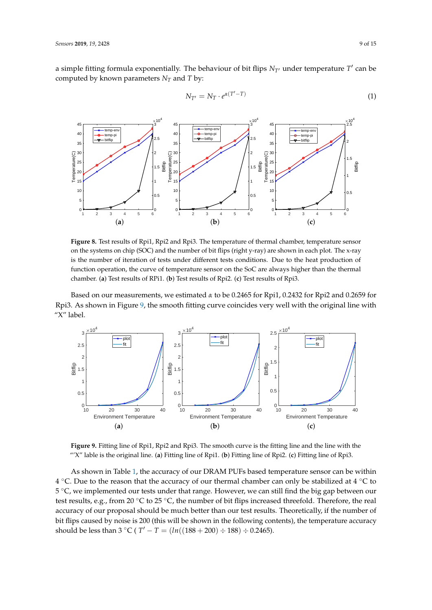a simple fitting formula exponentially. The behaviour of bit flips  $N_{T}$  under temperature  $T'$  can be computed by known parameters  $N_T$  and  $T$  by:

<span id="page-8-2"></span>
$$
N_{T'} = N_T \cdot e^{\alpha(T'-T)} \tag{1}
$$

<span id="page-8-0"></span>

**Figure 8.** Test results of Rpi1, Rpi2 and Rpi3. The temperature of thermal chamber, temperature sensor on the systems on chip (SOC) and the number of bit flips (right y-ray) are shown in each plot. The x-ray is the number of iteration of tests under different tests conditions. Due to the heat production of function operation, the curve of temperature sensor on the SoC are always higher than the thermal chamber. (**a**) Test results of RPi1. (**b**) Test results of Rpi2. (**c**) Test results of Rpi3.

Based on our measurements, we estimated *α* to be 0.2465 for Rpi1, 0.2432 for Rpi2 and 0.2659 for Rpi3. As shown in Figure [9,](#page-8-1) the smooth fitting curve coincides very well with the original line with "X" label.

<span id="page-8-1"></span>

**Figure 9.** Fitting line of Rpi1, Rpi2 and Rpi3. The smooth curve is the fitting line and the line with the "'X" lable is the original line. (**a**) Fitting line of Rpi1. (**b**) Fitting line of Rpi2. (**c**) Fitting line of Rpi3.

As shown in Table [1,](#page-9-0) the accuracy of our DRAM PUFs based temperature sensor can be within 4 °C. Due to the reason that the accuracy of our thermal chamber can only be stabilized at 4 °C to 5 °C, we implemented our tests under that range. However, we can still find the big gap between our test results, e.g., from 20 ℃ to 25 ℃, the number of bit flips increased threefold. Therefore, the real accuracy of our proposal should be much better than our test results. Theoretically, if the number of bit flips caused by noise is 200 (this will be shown in the following contents), the temperature accuracy should be less than 3 °C ( $T' - T = (ln((188 + 200) \div 188) \div 0.2465)$ .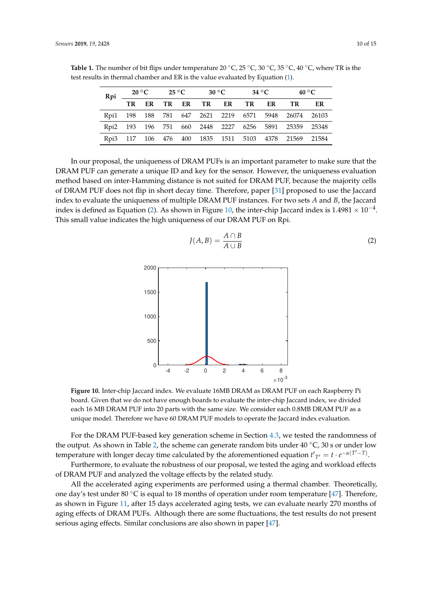|  |    |  | Rpi $20^{\circ}$ C $25^{\circ}$ C |  | $30\,{}^{\circ}\mathrm{C}$ |                   | 34 °C |  | $40^{\circ}$ C                                       |    |
|--|----|--|-----------------------------------|--|----------------------------|-------------------|-------|--|------------------------------------------------------|----|
|  | TR |  |                                   |  |                            | ER TRER TRER TRER |       |  | TR                                                   | ER |
|  |    |  |                                   |  |                            |                   |       |  | Rpi1 198 188 781 647 2621 2219 6571 5948 26074 26103 |    |
|  |    |  |                                   |  |                            |                   |       |  | Rpi2 193 196 751 660 2448 2227 6256 5891 25359 25348 |    |
|  |    |  |                                   |  |                            |                   |       |  | Rpi3 117 106 476 400 1835 1511 5103 4378 21569 21584 |    |

<span id="page-9-0"></span>**Table 1.** The number of bit flips under temperature 20 ◦C, 25 ◦C, 30 ◦C, 35 ◦C, 40 ◦C, where TR is the test results in thermal chamber and ER is the value evaluated by Equation [\(1\)](#page-8-2).

In our proposal, the uniqueness of DRAM PUFs is an important parameter to make sure that the DRAM PUF can generate a unique ID and key for the sensor. However, the uniqueness evaluation method based on inter-Hamming distance is not suited for DRAM PUF, because the majority cells of DRAM PUF does not flip in short decay time. Therefore, paper [\[31\]](#page-13-17) proposed to use the Jaccard index to evaluate the uniqueness of multiple DRAM PUF instances. For two sets *A* and *B*, the Jaccard index is defined as Equation [\(2\)](#page-9-1). As shown in Figure [10,](#page-9-2) the inter-chip Jaccard index is 1.4981 ×  $10^{-4}$ . This small value indicates the high uniqueness of our DRAM PUF on Rpi.

<span id="page-9-2"></span>

<span id="page-9-1"></span>
$$
J(A,B) = \frac{A \cap B}{A \cup B} \tag{2}
$$

**Figure 10.** Inter-chip Jaccard index. We evaluate 16MB DRAM as DRAM PUF on each Raspberry Pi board. Given that we do not have enough boards to evaluate the inter-chip Jaccard index, we divided each 16 MB DRAM PUF into 20 parts with the same size. We consider each 0.8MB DRAM PUF as a unique model. Therefore we have 60 DRAM PUF models to operate the Jaccard index evaluation.

For the DRAM PUF-based key generation scheme in Section [4.3,](#page-6-1) we tested the randomness of the output. As shown in Table [2,](#page-10-1) the scheme can generate random bits under  $40\degree\text{C}$ , 30 s or under low temperature with longer decay time calculated by the aforementioned equation  $t'_{T'} = t \cdot e^{-\alpha(T'-T)}$ .

Furthermore, to evaluate the robustness of our proposal, we tested the aging and workload effects of DRAM PUF and analyzed the voltage effects by the related study.

All the accelerated aging experiments are performed using a thermal chamber. Theoretically, one day's test under 80  $\degree$ C is equal to 18 months of operation under room temperature [\[47\]](#page-14-12). Therefore, as shown in Figure [11,](#page-10-2) after 15 days accelerated aging tests, we can evaluate nearly 270 months of aging effects of DRAM PUFs. Although there are some fluctuations, the test results do not present serious aging effects. Similar conclusions are also shown in paper [\[47\]](#page-14-12).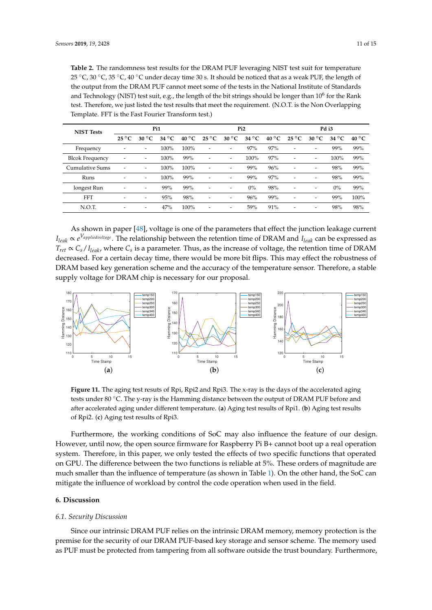<span id="page-10-1"></span>**Table 2.** The randomness test results for the DRAM PUF leveraging NIST test suit for temperature 25 °C, 30 °C, 35 °C, 40 °C under decay time 30 s. It should be noticed that as a weak PUF, the length of the output from the DRAM PUF cannot meet some of the tests in the National Institute of Standards and Technology (NIST) test suit, e.g., the length of the bit strings should be longer than  $10^6$  for the Rank test. Therefore, we just listed the test results that meet the requirement. (N.O.T. is the Non Overlapping Template. FFT is the Fast Fourier Transform test.)

| <b>NIST Tests</b>      | Pi1                      |                |                |                | Pi <sub>2</sub> |                          |                |                | Pd i3                    |                |                |                |
|------------------------|--------------------------|----------------|----------------|----------------|-----------------|--------------------------|----------------|----------------|--------------------------|----------------|----------------|----------------|
|                        | $25^{\circ}$ C           | $30^{\circ}$ C | $34^{\circ}$ C | $40^{\circ}$ C | $25^{\circ}$ C  | $30^{\circ}$ C           | $34^{\circ}$ C | $40^{\circ}$ C | $25^{\circ}$ C           | $30^{\circ}$ C | $34^{\circ}$ C | $40^{\circ}$ C |
| Frequency              | $\overline{\phantom{0}}$ | -              | 100%           | 100%           |                 | -                        | 97%            | 97%            | -                        |                | 99%            | 99%            |
| <b>Blcok Frequency</b> | ۰                        | -              | 100%           | 99%            |                 | $\overline{\phantom{0}}$ | 100%           | 97%            | -                        | -              | 100%           | 99%            |
| Cumulative Sums        | ۰                        | ۰              | 100%           | 100%           | ۰               | $\overline{\phantom{0}}$ | 99%            | 96%            | $\overline{\phantom{0}}$ | -              | 98%            | 99%            |
| Runs                   | -                        | -              | 100%           | 99%            |                 | $\overline{\phantom{0}}$ | 99%            | 97%            | $\overline{\phantom{0}}$ |                | 98%            | 99%            |
| longest Run            | $\overline{\phantom{0}}$ | -              | 99%            | 99%            |                 | -                        | $0\%$          | 98%            | -                        | -              | $0\%$          | 99%            |
| <b>FFT</b>             | -                        | -              | 95%            | 98%            | -               | $\overline{\phantom{0}}$ | 96%            | 99%            | -                        | -              | 99%            | 100%           |
| N.O.T.                 | -                        | -              | 47%            | 100%           | -               | $\overline{\phantom{0}}$ | 59%            | 91%            | -                        | -              | 98%            | 98%            |

As shown in paper [\[48\]](#page-14-13), voltage is one of the parameters that effect the junction leakage current *Ileak* ∝ *e <sup>V</sup>appliedvoltage*. The relationship between the retention time of DRAM and *Ileak* can be expressed as  $T_{ret} \propto C_s/I_{leak}$ , where  $C_s$  is a parameter. Thus, as the increase of voltage, the retention time of DRAM decreased. For a certain decay time, there would be more bit flips. This may effect the robustness of DRAM based key generation scheme and the accuracy of the temperature sensor. Therefore, a stable supply voltage for DRAM chip is necessary for our proposal.

<span id="page-10-2"></span>

**Figure 11.** The aging test resuts of Rpi, Rpi2 and Rpi3. The x-ray is the days of the accelerated aging tests under 80 °C. The y-ray is the Hamming distance between the output of DRAM PUF before and after accelerated aging under different temperature. (**a**) Aging test results of Rpi1. (**b**) Aging test results of Rpi2. (**c**) Aging test results of Rpi3.

Furthermore, the working conditions of SoC may also influence the feature of our design. However, until now, the open source firmware for Raspberry Pi B+ cannot boot up a real operation system. Therefore, in this paper, we only tested the effects of two specific functions that operated on GPU. The difference between the two functions is reliable at 5%. These orders of magnitude are much smaller than the influence of temperature (as shown in Table [1\)](#page-9-0). On the other hand, the SoC can mitigate the influence of workload by control the code operation when used in the field.

# <span id="page-10-0"></span>**6. Discussion**

## *6.1. Security Discussion*

Since our intrinsic DRAM PUF relies on the intrinsic DRAM memory, memory protection is the premise for the security of our DRAM PUF-based key storage and sensor scheme. The memory used as PUF must be protected from tampering from all software outside the trust boundary. Furthermore,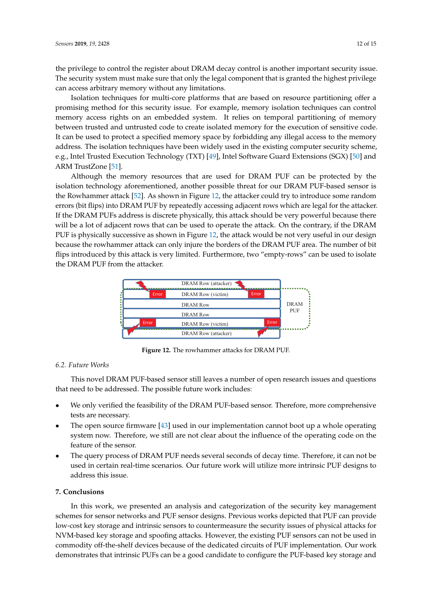the privilege to control the register about DRAM decay control is another important security issue. The security system must make sure that only the legal component that is granted the highest privilege can access arbitrary memory without any limitations.

Isolation techniques for multi-core platforms that are based on resource partitioning offer a promising method for this security issue. For example, memory isolation techniques can control memory access rights on an embedded system. It relies on temporal partitioning of memory between trusted and untrusted code to create isolated memory for the execution of sensitive code. It can be used to protect a specified memory space by forbidding any illegal access to the memory address. The isolation techniques have been widely used in the existing computer security scheme, e.g., Intel Trusted Execution Technology (TXT) [\[49\]](#page-14-14), Intel Software Guard Extensions (SGX) [\[50\]](#page-14-15) and ARM TrustZone [\[51\]](#page-14-16).

Although the memory resources that are used for DRAM PUF can be protected by the isolation technology aforementioned, another possible threat for our DRAM PUF-based sensor is the Rowhammer attack [\[52\]](#page-14-17). As shown in Figure [12,](#page-11-1) the attacker could try to introduce some random errors (bit flips) into DRAM PUF by repeatedly accessing adjacent rows which are legal for the attacker. If the DRAM PUFs address is discrete physically, this attack should be very powerful because there will be a lot of adjacent rows that can be used to operate the attack. On the contrary, if the DRAM PUF is physically successive as shown in Figure [12,](#page-11-1) the attack would be not very useful in our design because the rowhammer attack can only injure the borders of the DRAM PUF area. The number of bit flips introduced by this attack is very limited. Furthermore, two "empty-rows" can be used to isolate the DRAM PUF from the attacker.

<span id="page-11-1"></span>

**Figure 12.** The rowhammer attacks for DRAM PUF.

# *6.2. Future Works*

This novel DRAM PUF-based sensor still leaves a number of open research issues and questions that need to be addressed. The possible future work includes:

- We only verified the feasibility of the DRAM PUF-based sensor. Therefore, more comprehensive tests are necessary.
- The open source firmware [\[43\]](#page-14-8) used in our implementation cannot boot up a whole operating system now. Therefore, we still are not clear about the influence of the operating code on the feature of the sensor.
- The query process of DRAM PUF needs several seconds of decay time. Therefore, it can not be used in certain real-time scenarios. Our future work will utilize more intrinsic PUF designs to address this issue.

## <span id="page-11-0"></span>**7. Conclusions**

In this work, we presented an analysis and categorization of the security key management schemes for sensor networks and PUF sensor designs. Previous works depicted that PUF can provide low-cost key storage and intrinsic sensors to countermeasure the security issues of physical attacks for NVM-based key storage and spoofing attacks. However, the existing PUF sensors can not be used in commodity off-the-shelf devices because of the dedicated circuits of PUF implementation. Our work demonstrates that intrinsic PUFs can be a good candidate to configure the PUF-based key storage and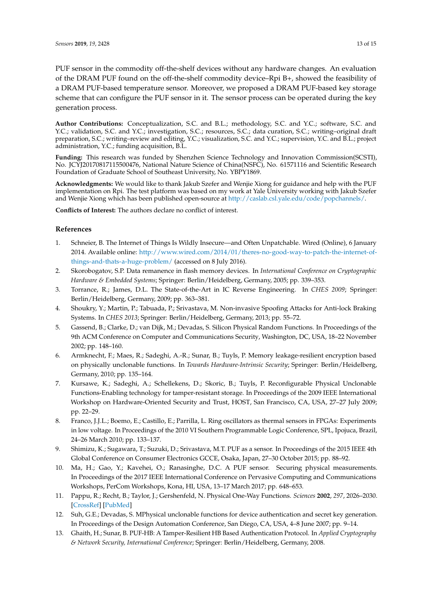PUF sensor in the commodity off-the-shelf devices without any hardware changes. An evaluation of the DRAM PUF found on the off-the-shelf commodity device–Rpi B+, showed the feasibility of a DRAM PUF-based temperature sensor. Moreover, we proposed a DRAM PUF-based key storage scheme that can configure the PUF sensor in it. The sensor process can be operated during the key generation process.

**Author Contributions:** Conceptualization, S.C. and B.L.; methodology, S.C. and Y.C.; software, S.C. and Y.C.; validation, S.C. and Y.C.; investigation, S.C.; resources, S.C.; data curation, S.C.; writing–original draft preparation, S.C.; writing–review and editing, Y.C.; visualization, S.C. and Y.C.; supervision, Y.C. and B.L.; project administration, Y.C.; funding acquisition, B.L.

**Funding:** This research was funded by Shenzhen Science Technology and Innovation Commission(SCSTI), No. JCYJ20170817115500476, National Nature Science of China(NSFC), No. 61571116 and Scientific Research Foundation of Graduate School of Southeast University, No. YBPY1869.

**Acknowledgments:** We would like to thank Jakub Szefer and Wenjie Xiong for guidance and help with the PUF implementation on Rpi. The test platform was based on my work at Yale University working with Jakub Szefer and Wenjie Xiong which has been published open-source at [http://caslab.csl.yale.edu/code/popchannels/.](http://caslab.csl.yale.edu/code/popchannels/)

**Conflicts of Interest:** The authors declare no conflict of interest.

# **References**

- <span id="page-12-0"></span>1. Schneier, B. The Internet of Things Is Wildly Insecure—and Often Unpatchable. Wired (Online), 6 January 2014. Available online: [http://www.wired.com/2014/01/theres-no-good-way-to-patch-the-internet-of](http://www.wired.com/2014/01/theres-no-good-way-to-patch- the-internet-of-things-and-thats-a-huge-problem/)[things-and-thats-a-huge-problem/](http://www.wired.com/2014/01/theres-no-good-way-to-patch- the-internet-of-things-and-thats-a-huge-problem/) (accessed on 8 July 2016).
- <span id="page-12-1"></span>2. Skorobogatov, S.P. Data remanence in flash memory devices. In *International Conference on Cryptographic Hardware & Embedded Systems*; Springer: Berlin/Heidelberg, Germany, 2005; pp. 339–353.
- <span id="page-12-2"></span>3. Torrance, R.; James, D.L. The State-of-the-Art in IC Reverse Engineering. In *CHES 2009*; Springer: Berlin/Heidelberg, Germany, 2009; pp. 363–381.
- <span id="page-12-3"></span>4. Shoukry, Y.; Martin, P.; Tabuada, P.; Srivastava, M. Non-invasive Spoofing Attacks for Anti-lock Braking Systems. In *CHES 2013*; Springer: Berlin/Heidelberg, Germany, 2013; pp. 55–72.
- <span id="page-12-4"></span>5. Gassend, B.; Clarke, D.; van Dijk, M.; Devadas, S. Silicon Physical Random Functions. In Proceedings of the 9th ACM Conference on Computer and Communications Security, Washington, DC, USA, 18–22 November 2002; pp. 148–160.
- <span id="page-12-5"></span>6. Armknecht, F.; Maes, R.; Sadeghi, A.-R.; Sunar, B.; Tuyls, P. Memory leakage-resilient encryption based on physically unclonable functions. In *Towards Hardware-Intrinsic Security*; Springer: Berlin/Heidelberg, Germany, 2010; pp. 135–164.
- <span id="page-12-6"></span>7. Kursawe, K.; Sadeghi, A.; Schellekens, D.; Skoric, B.; Tuyls, P. Reconfigurable Physical Unclonable Functions-Enabling technology for tamper-resistant storage. In Proceedings of the 2009 IEEE International Workshop on Hardware-Oriented Security and Trust, HOST, San Francisco, CA, USA, 27–27 July 2009; pp. 22–29.
- <span id="page-12-7"></span>8. Franco, J.J.L.; Boemo, E.; Castillo, E.; Parrilla, L. Ring oscillators as thermal sensors in FPGAs: Experiments in low voltage. In Proceedings of the 2010 VI Southern Programmable Logic Conference, SPL, Ipojuca, Brazil, 24–26 March 2010; pp. 133–137.
- <span id="page-12-8"></span>9. Shimizu, K.; Sugawara, T.; Suzuki, D.; Srivastava, M.T. PUF as a sensor. In Proceedings of the 2015 IEEE 4th Global Conference on Consumer Electronics GCCE, Osaka, Japan, 27–30 October 2015; pp. 88–92.
- <span id="page-12-9"></span>10. Ma, H.; Gao, Y.; Kavehei, O.; Ranasinghe, D.C. A PUF sensor. Securing physical measurements. In Proceedings of the 2017 IEEE International Conference on Pervasive Computing and Communications Workshops, PerCom Workshops, Kona, HI, USA, 13–17 March 2017; pp. 648–653.
- <span id="page-12-10"></span>11. Pappu, R.; Recht, B.; Taylor, J.; Gershenfeld, N. Physical One-Way Functions. *Sciences* **2002**, *297*, 2026–2030. [\[CrossRef\]](http://dx.doi.org/10.1126/science.1074376) [\[PubMed\]](http://www.ncbi.nlm.nih.gov/pubmed/12242435)
- <span id="page-12-11"></span>12. Suh, G.E.; Devadas, S. MPhysical unclonable functions for device authentication and secret key generation. In Proceedings of the Design Automation Conference, San Diego, CA, USA, 4–8 June 2007; pp. 9–14.
- <span id="page-12-12"></span>13. Ghaith, H.; Sunar, B. PUF-HB: A Tamper-Resilient HB Based Authentication Protocol. In *Applied Cryptography & Network Security, International Conference*; Springer: Berlin/Heidelberg, Germany, 2008.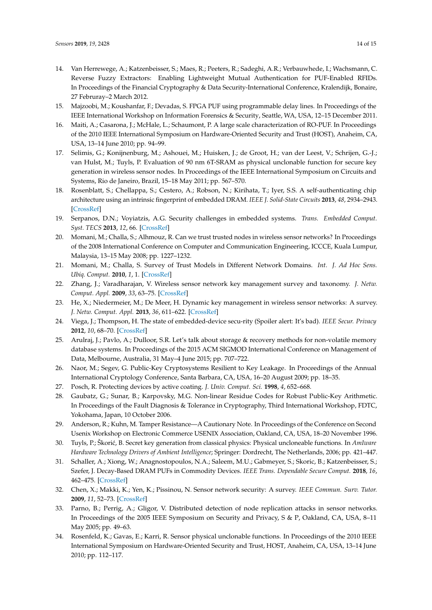- <span id="page-13-0"></span>14. Van Herrewege, A.; Katzenbeisser, S.; Maes, R.; Peeters, R.; Sadeghi, A.R.; Verbauwhede, I.; Wachsmann, C. Reverse Fuzzy Extractors: Enabling Lightweight Mutual Authentication for PUF-Enabled RFIDs. In Proceedings of the Financial Cryptography & Data Security-International Conference, Kralendijk, Bonaire, 27 Februray–2 March 2012.
- <span id="page-13-1"></span>15. Majzoobi, M.; Koushanfar, F.; Devadas, S. FPGA PUF using programmable delay lines. In Proceedings of the IEEE International Workshop on Information Forensics & Security, Seattle, WA, USA, 12–15 December 2011.
- <span id="page-13-2"></span>16. Maiti, A.; Casarona, J.; McHale, L.; Schaumont, P. A large scale characterization of RO-PUF. In Proceedings of the 2010 IEEE International Symposium on Hardware-Oriented Security and Trust (HOST), Anaheim, CA, USA, 13–14 June 2010; pp. 94–99.
- <span id="page-13-3"></span>17. Selimis, G.; Konijnenburg, M.; Ashouei, M.; Huisken, J.; de Groot, H.; van der Leest, V.; Schrijen, G.-J.; van Hulst, M.; Tuyls, P. Evaluation of 90 nm 6T-SRAM as physical unclonable function for secure key generation in wireless sensor nodes. In Proceedings of the IEEE International Symposium on Circuits and Systems, Rio de Janeiro, Brazil, 15–18 May 2011; pp. 567–570.
- <span id="page-13-4"></span>18. Rosenblatt, S.; Chellappa, S.; Cestero, A.; Robson, N.; Kirihata, T.; Iyer, S.S. A self-authenticating chip architecture using an intrinsic fingerprint of embedded DRAM. *IEEE J. Solid-State Circuits* **2013**, *48*, 2934–2943. [\[CrossRef\]](http://dx.doi.org/10.1109/JSSC.2013.2282114)
- <span id="page-13-5"></span>19. Serpanos, D.N.; Voyiatzis, A.G. Security challenges in embedded systems. *Trans. Embedded Comput. Syst. TECS* **2013**, *12*, 66. [\[CrossRef\]](http://dx.doi.org/10.1145/2435227.2435262)
- <span id="page-13-6"></span>20. Momani, M.; Challa, S.; Alhmouz, R. Can we trust trusted nodes in wireless sensor networks? In Proceedings of the 2008 International Conference on Computer and Communication Engineering, ICCCE, Kuala Lumpur, Malaysia, 13–15 May 2008; pp. 1227–1232.
- <span id="page-13-7"></span>21. Momani, M.; Challa, S. Survey of Trust Models in Different Network Domains. *Int. J. Ad Hoc Sens. Ubiq. Comput.* **2010**, *1*, 1. [\[CrossRef\]](http://dx.doi.org/10.5121/ijasuc.2010.1301)
- <span id="page-13-8"></span>22. Zhang, J.; Varadharajan, V. Wireless sensor network key management survey and taxonomy. *J. Netw. Comput. Appl.* **2009**, *33*, 63–75. [\[CrossRef\]](http://dx.doi.org/10.1016/j.jnca.2009.10.001)
- <span id="page-13-9"></span>23. He, X.; Niedermeier, M.; De Meer, H. Dynamic key management in wireless sensor networks: A survey. *J. Netw. Comput. Appl.* **2013**, *36*, 611–622. [\[CrossRef\]](http://dx.doi.org/10.1016/j.jnca.2012.12.010)
- <span id="page-13-10"></span>24. Viega, J.; Thompson, H. The state of embedded-device secu-rity (Spoiler alert: It's bad). *IEEE Secur. Privacy* **2012**, *10*, 68–70. [\[CrossRef\]](http://dx.doi.org/10.1109/MSP.2012.134)
- <span id="page-13-11"></span>25. Arulraj, J.; Pavlo, A.; Dulloor, S.R. Let's talk about storage & recovery methods for non-volatile memory database systems. In Proceedings of the 2015 ACM SIGMOD International Conference on Management of Data, Melbourne, Australia, 31 May–4 June 2015; pp. 707–722.
- <span id="page-13-12"></span>26. Naor, M.; Segev, G. Public-Key Cryptosystems Resilient to Key Leakage. In Proceedings of the Annual International Cryptology Conference, Santa Barbara, CA, USA, 16–20 August 2009; pp. 18–35.
- <span id="page-13-13"></span>27. Posch, R. Protecting devices by active coating. *J. Univ. Comput. Sci.* **1998**, *4*, 652–668.
- <span id="page-13-14"></span>28. Gaubatz, G.; Sunar, B.; Karpovsky, M.G. Non-linear Residue Codes for Robust Public-Key Arithmetic. In Proceedings of the Fault Diagnosis & Tolerance in Cryptography, Third International Workshop, FDTC, Yokohama, Japan, 10 October 2006.
- <span id="page-13-15"></span>29. Anderson, R.; Kuhn, M. Tamper Resistance—A Cautionary Note. In Proceedings of the Conference on Second Usenix Workshop on Electronic Commerce USENIX Association, Oakland, CA, USA, 18–20 November 1996.
- <span id="page-13-16"></span>30. Tuyls, P.; Škori´c, B. Secret key generation from classical physics: Physical uncloneable functions. In *AmIware Hardware Technology Drivers of Ambient Intelligence*; Springer: Dordrecht, The Netherlands, 2006; pp. 421–447.
- <span id="page-13-17"></span>31. Schaller, A.; Xiong, W.; Anagnostopoulos, N.A.; Saleem, M.U.; Gabmeyer, S.; Skoric, B.; Katzenbeisser, S.; Szefer, J. Decay-Based DRAM PUFs in Commodity Devices. *IEEE Trans. Dependable Secure Comput.* **2018**, *16*, 462–475. [\[CrossRef\]](http://dx.doi.org/10.1109/TDSC.2018.2822298)
- <span id="page-13-18"></span>32. Chen, X.; Makki, K.; Yen, K.; Pissinou, N. Sensor network security: A survey. *IEEE Commun. Surv. Tutor.* **2009**, *11*, 52–73. [\[CrossRef\]](http://dx.doi.org/10.1109/SURV.2009.090205)
- <span id="page-13-19"></span>33. Parno, B.; Perrig, A.; Gligor, V. Distributed detection of node replication attacks in sensor networks. In Proceedings of the 2005 IEEE Symposium on Security and Privacy, S & P, Oakland, CA, USA, 8–11 May 2005; pp. 49–63.
- <span id="page-13-20"></span>34. Rosenfeld, K.; Gavas, E.; Karri, R. Sensor physical unclonable functions. In Proceedings of the 2010 IEEE International Symposium on Hardware-Oriented Security and Trust, HOST, Anaheim, CA, USA, 13–14 June 2010; pp. 112–117.